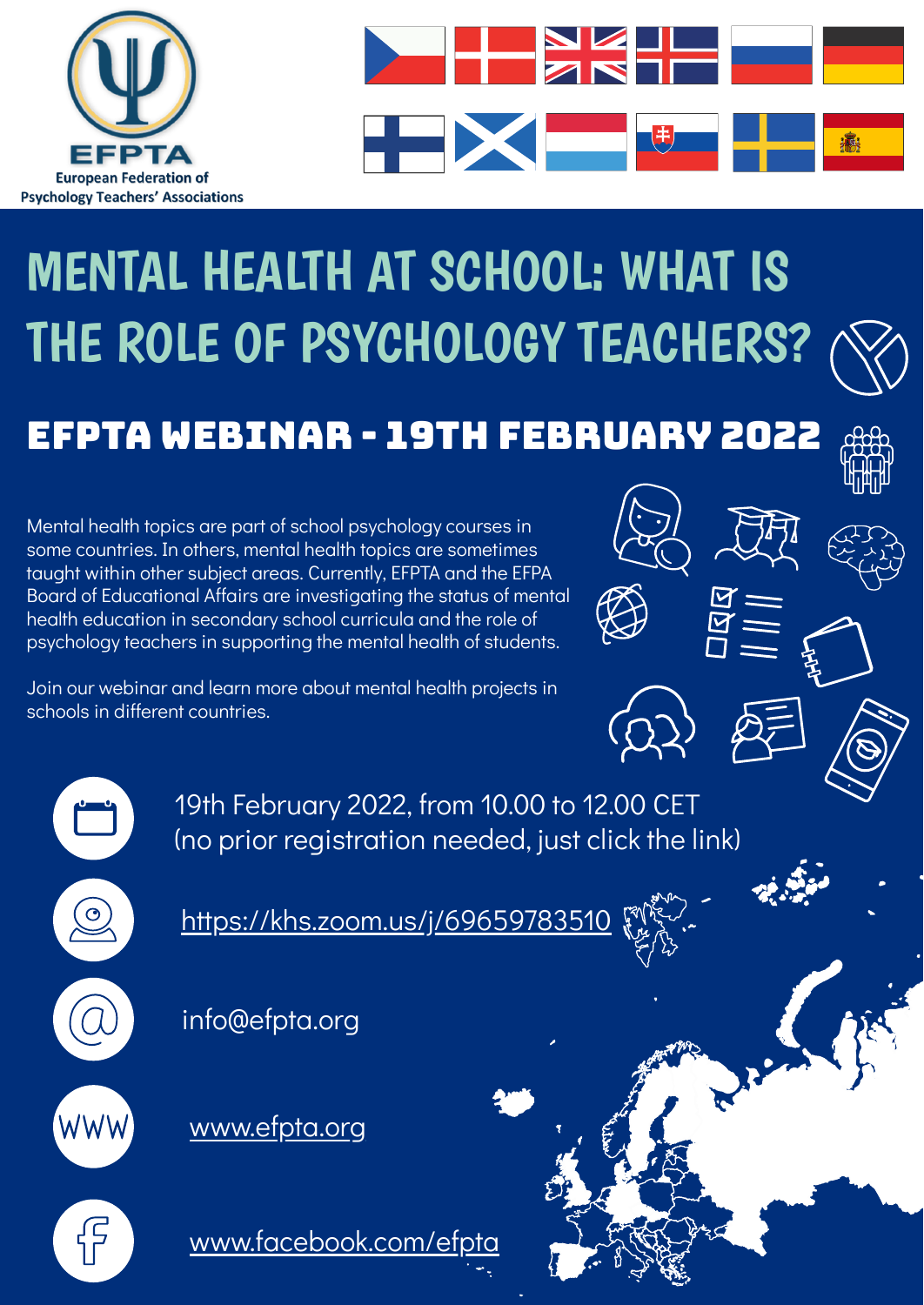



# MENTAL HEALTH AT SCHOOL: WHAT IS THE ROLE OF PSYCHOLOGY TEACHERS?



EFPTA WEBINAR - 19th February 2022

Mental health topics are part of school psychology courses in some countries. In others, mental health topics are sometimes taught within other subject areas. Currently, EFPTA and the EFPA Board of Educational Affairs are investigating the status of mental health education in secondary school curricula and the role of psychology teachers in supporting the mental health of students.

Join our webinar and learn more about mental health projects in schools in different countries.







19th February 2022, from 10.00 to 12.00 CET (no prior registration needed, just click the link)

<https://khs.zoom.us/j/69659783510>

info@efpta.org

[www.efpta.org](http://www.efpta.org/)

[www.facebook.com/efpta](http://www.facebook.com/efpta)